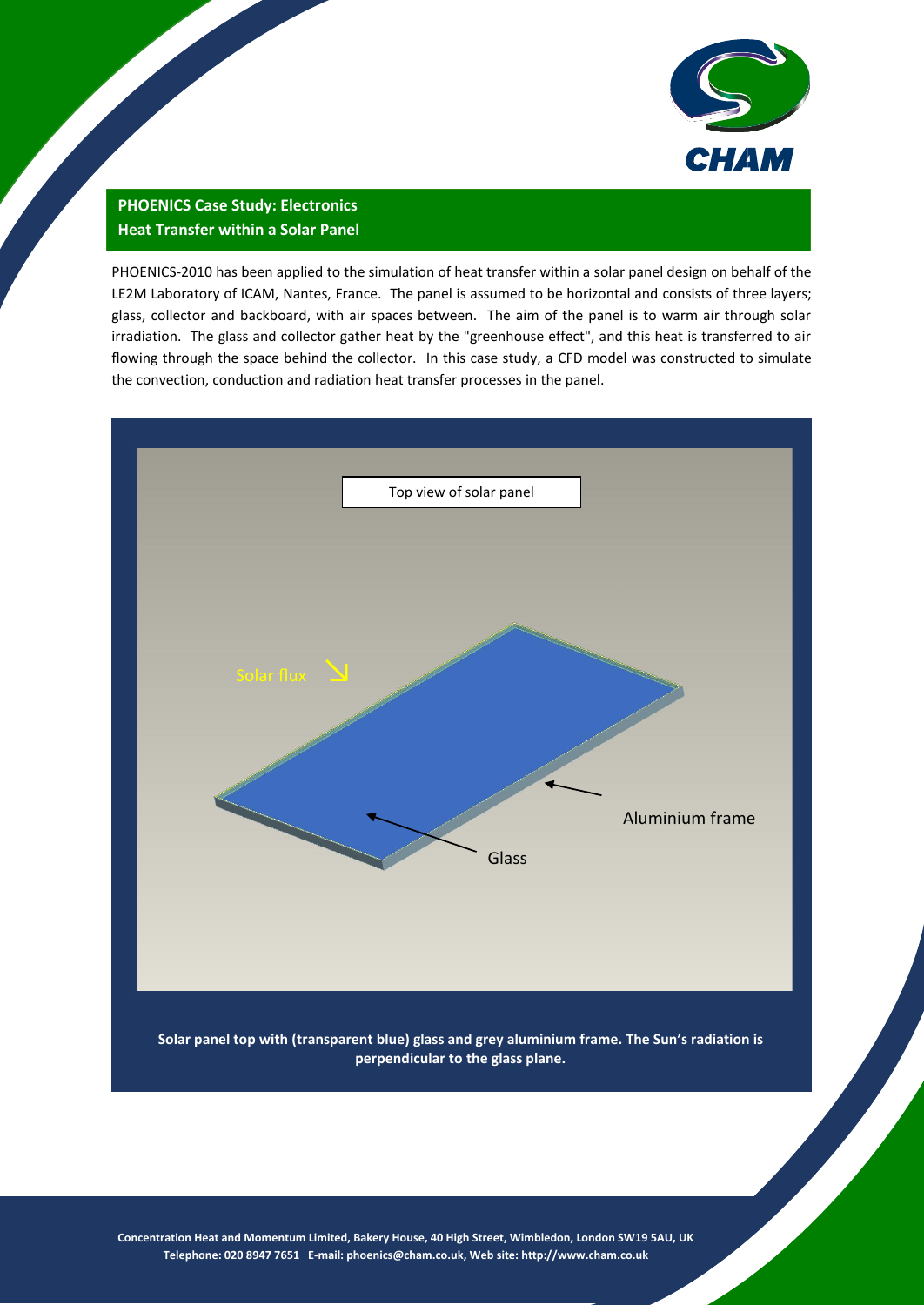

## **PHOENICS Case Study: Electronics Heat Transfer within a Solar Panel**

PHOENICS-2010 has been applied to the simulation of heat transfer within a solar panel design on behalf of the LE2M Laboratory of ICAM, Nantes, France. The panel is assumed to be horizontal and consists of three layers; glass, collector and backboard, with air spaces between. The aim of the panel is to warm air through solar irradiation. The glass and collector gather heat by the "greenhouse effect", and this heat is transferred to air flowing through the space behind the collector. In this case study, a CFD model was constructed to simulate the convection, conduction and radiation heat transfer processes in the panel.



**Solar panel top with (transparent blue) glass and grey aluminium frame. The Sun's radiation is perpendicular to the glass plane.**

**Concentration Heat and Momentum Limited, Bakery House, 40 High Street, Wimbledon, London SW19 5AU, UK Telephone: 020 8947 7651 E-mail[: phoenics@cham.co.uk,](mailto:phoenics@cham.co.uk) Web site[: http://www.cham.co.uk](http://www.cham.co.uk/)**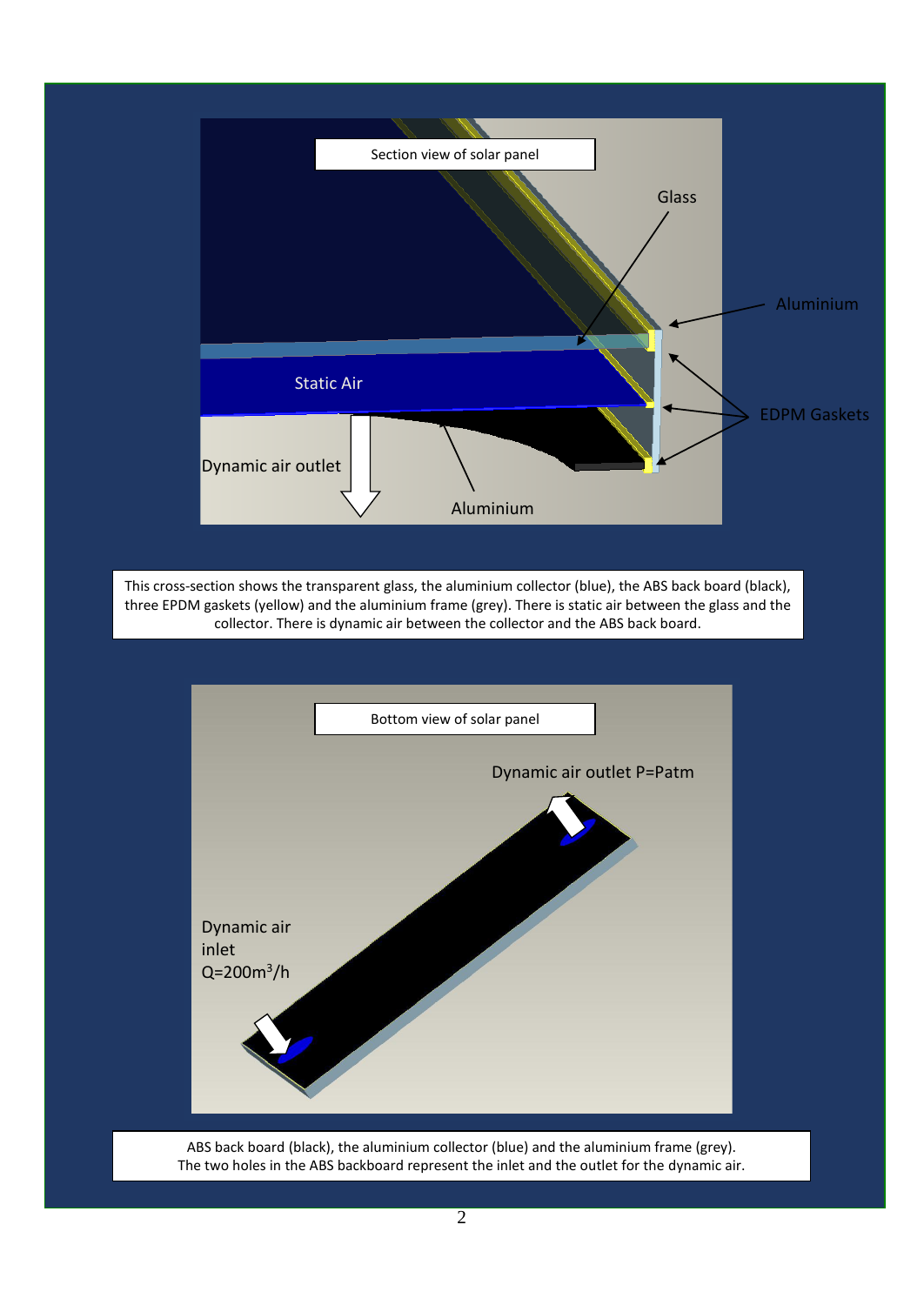

ABS back board (black), the aluminium collector (blue) and the aluminium frame (grey). The two holes in the ABS backboard represent the inlet and the outlet for the dynamic air.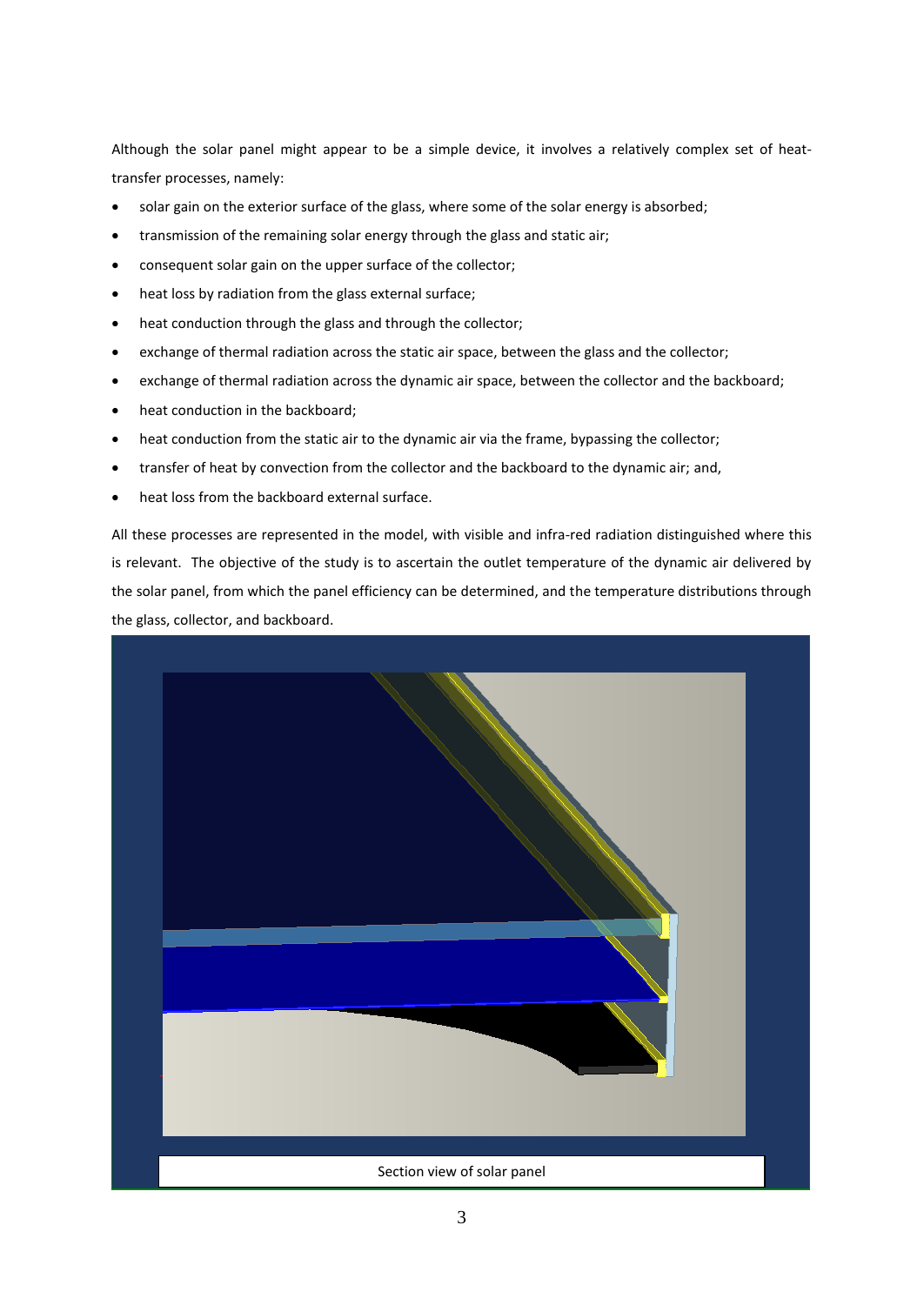Although the solar panel might appear to be a simple device, it involves a relatively complex set of heattransfer processes, namely:

- solar gain on the exterior surface of the glass, where some of the solar energy is absorbed;
- transmission of the remaining solar energy through the glass and static air;
- consequent solar gain on the upper surface of the collector;
- heat loss by radiation from the glass external surface;
- heat conduction through the glass and through the collector;
- exchange of thermal radiation across the static air space, between the glass and the collector;
- exchange of thermal radiation across the dynamic air space, between the collector and the backboard;
- heat conduction in the backboard;
- heat conduction from the static air to the dynamic air via the frame, bypassing the collector;
- transfer of heat by convection from the collector and the backboard to the dynamic air; and,
- heat loss from the backboard external surface.

All these processes are represented in the model, with visible and infra-red radiation distinguished where this is relevant. The objective of the study is to ascertain the outlet temperature of the dynamic air delivered by the solar panel, from which the panel efficiency can be determined, and the temperature distributions through the glass, collector, and backboard.

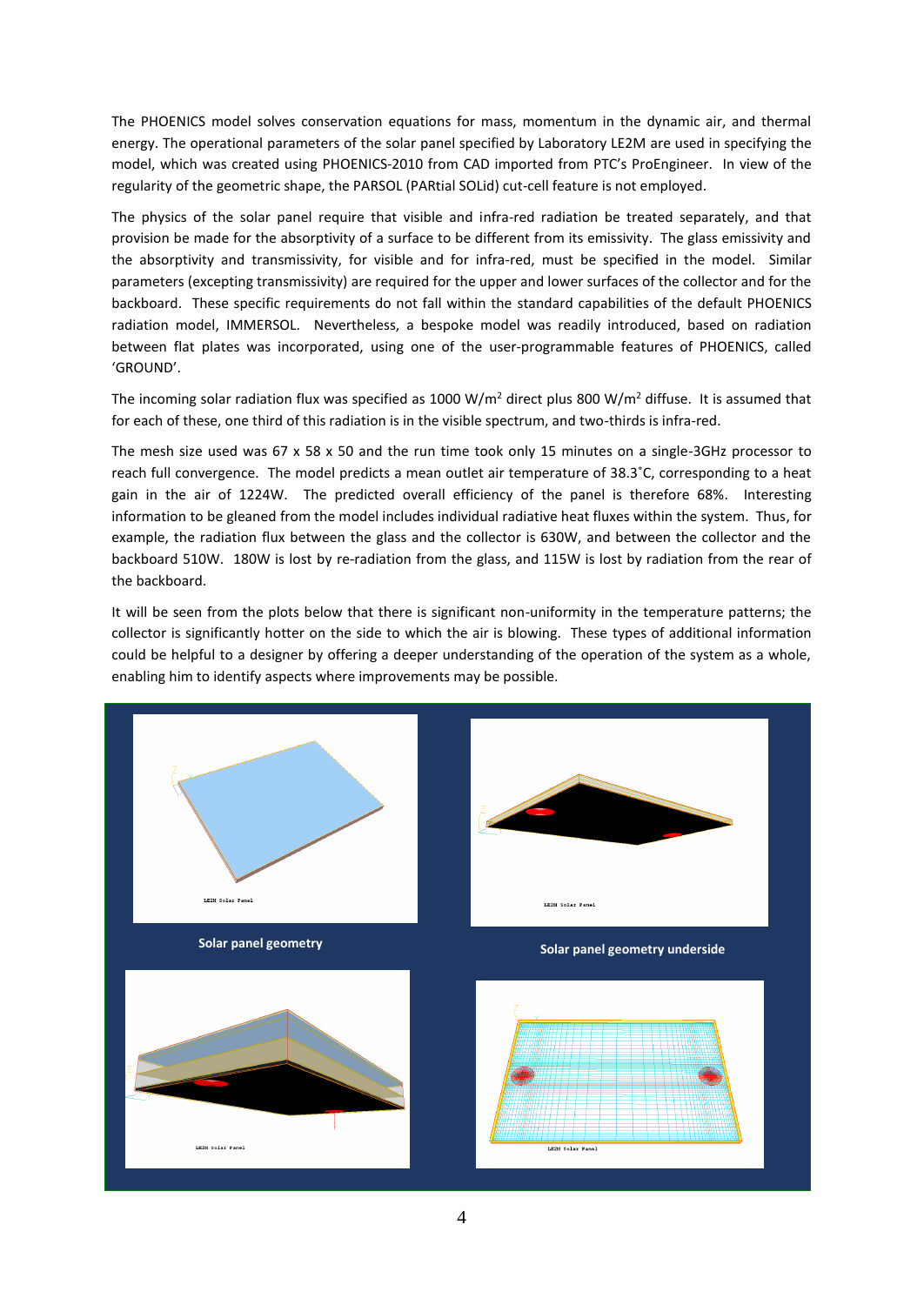The PHOENICS model solves conservation equations for mass, momentum in the dynamic air, and thermal energy. The operational parameters of the solar panel specified by Laboratory LE2M are used in specifying the model, which was created using PHOENICS-2010 from CAD imported from PTC's ProEngineer. In view of the regularity of the geometric shape, the PARSOL (PARtial SOLid) cut-cell feature is not employed.

The physics of the solar panel require that visible and infra-red radiation be treated separately, and that provision be made for the absorptivity of a surface to be different from its emissivity. The glass emissivity and the absorptivity and transmissivity, for visible and for infra-red, must be specified in the model. Similar parameters (excepting transmissivity) are required for the upper and lower surfaces of the collector and for the backboard. These specific requirements do not fall within the standard capabilities of the default PHOENICS radiation model, IMMERSOL. Nevertheless, a bespoke model was readily introduced, based on radiation between flat plates was incorporated, using one of the user-programmable features of PHOENICS, called 'GROUND'.

The incoming solar radiation flux was specified as 1000 W/m<sup>2</sup> direct plus 800 W/m<sup>2</sup> diffuse. It is assumed that for each of these, one third of this radiation is in the visible spectrum, and two-thirds is infra-red.

The mesh size used was 67 x 58 x 50 and the run time took only 15 minutes on a single-3GHz processor to reach full convergence. The model predicts a mean outlet air temperature of 38.3˚C, corresponding to a heat gain in the air of 1224W. The predicted overall efficiency of the panel is therefore 68%. Interesting information to be gleaned from the model includes individual radiative heat fluxes within the system. Thus, for example, the radiation flux between the glass and the collector is 630W, and between the collector and the backboard 510W. 180W is lost by re-radiation from the glass, and 115W is lost by radiation from the rear of the backboard.

It will be seen from the plots below that there is significant non-uniformity in the temperature patterns; the collector is significantly hotter on the side to which the air is blowing. These types of additional information could be helpful to a designer by offering a deeper understanding of the operation of the system as a whole, enabling him to identify aspects where improvements may be possible.

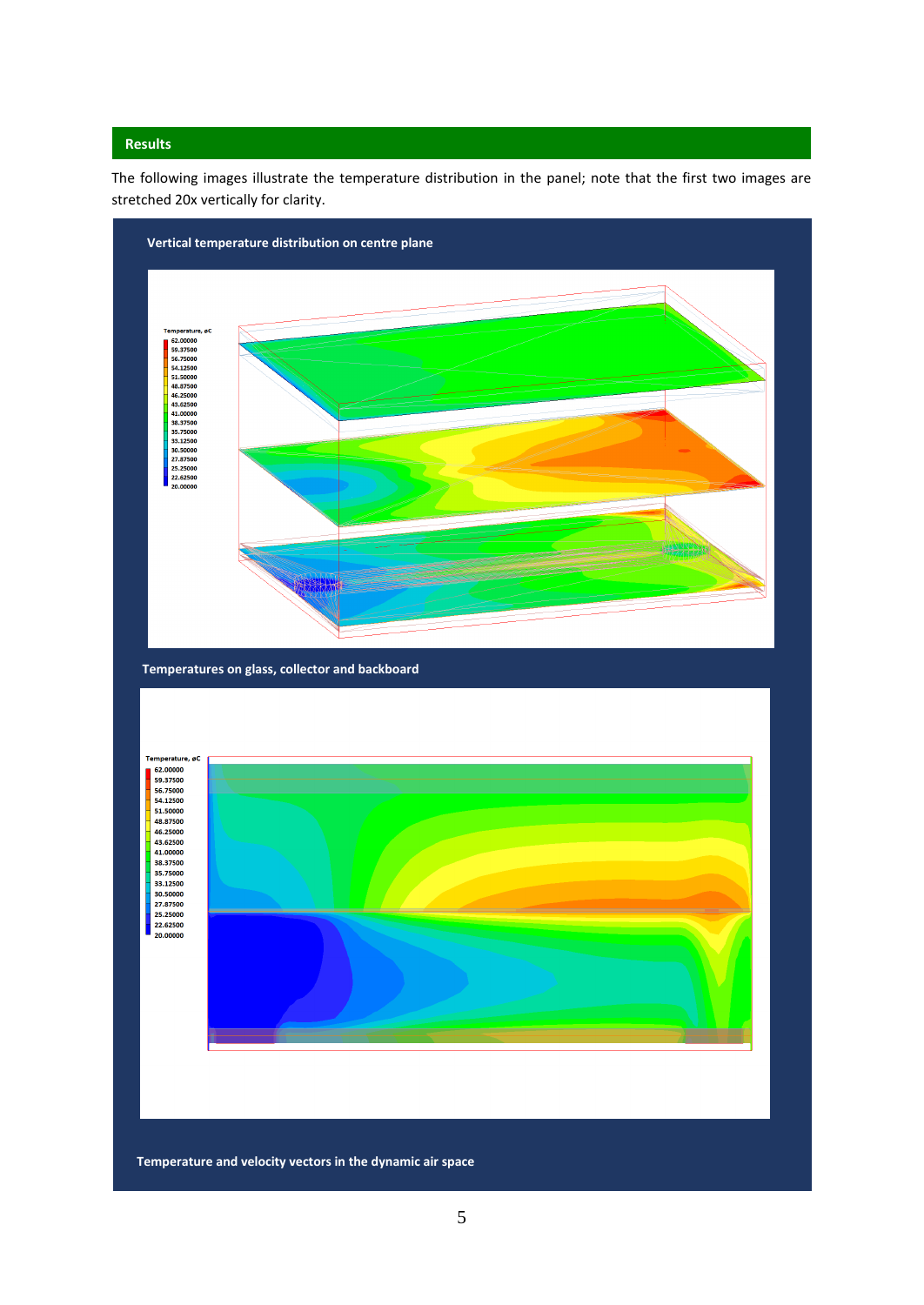## **Results**

The following images illustrate the temperature distribution in the panel; note that the first two images are stretched 20x vertically for clarity.